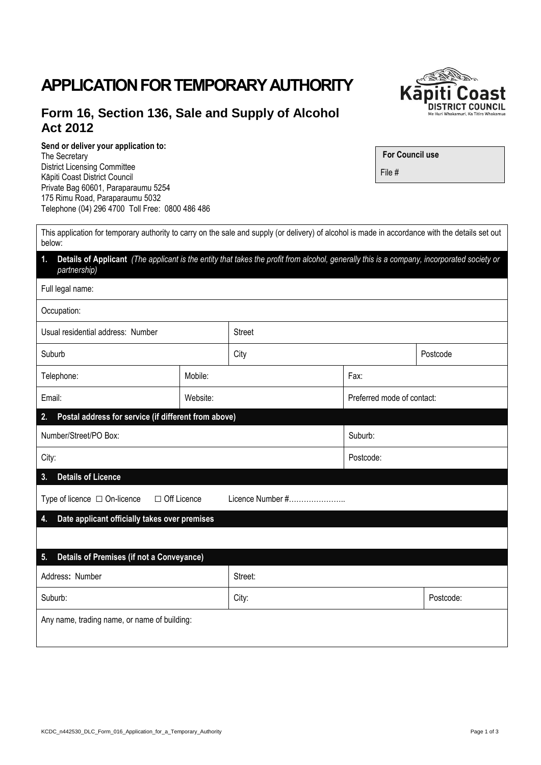## KCDC\_n442530\_DLC\_Form\_016\_Application\_for\_a\_Temporary\_Authority Page 1 of 3

# **APPLICATION FOR TEMPORARY AUTHORITY**

## **Form 16, Section 136, Sale and Supply of Alcohol Act 2012**

#### **Send or deliver your application to:**

below:

The Secretary District Licensing Committee Kāpiti Coast District Council Private Bag 60601, Paraparaumu 5254 175 Rimu Road, Paraparaumu 5032 Telephone (04) 296 4700 Toll Free: 0800 486 486

**For Council use** File #

This application for temporary authority to carry on the sale and supply (or delivery) of alcohol is made in accordance with the details set out

| Details of Applicant (The applicant is the entity that takes the profit from alcohol, generally this is a company, incorporated society or<br>1.<br>partnership) |          |               |                            |           |  |  |  |
|------------------------------------------------------------------------------------------------------------------------------------------------------------------|----------|---------------|----------------------------|-----------|--|--|--|
| Full legal name:                                                                                                                                                 |          |               |                            |           |  |  |  |
| Occupation:                                                                                                                                                      |          |               |                            |           |  |  |  |
| Usual residential address: Number                                                                                                                                |          | <b>Street</b> |                            |           |  |  |  |
| Suburb                                                                                                                                                           |          | City          |                            | Postcode  |  |  |  |
| Telephone:                                                                                                                                                       | Mobile:  | Fax:          |                            |           |  |  |  |
| Email:                                                                                                                                                           | Website: |               | Preferred mode of contact: |           |  |  |  |
| Postal address for service (if different from above)<br>2.                                                                                                       |          |               |                            |           |  |  |  |
| Number/Street/PO Box:                                                                                                                                            |          | Suburb:       |                            |           |  |  |  |
| City:                                                                                                                                                            |          |               | Postcode:                  |           |  |  |  |
| <b>Details of Licence</b><br>3.                                                                                                                                  |          |               |                            |           |  |  |  |
| □ Off Licence<br>Licence Number #<br>Type of licence $\Box$ On-licence                                                                                           |          |               |                            |           |  |  |  |
| Date applicant officially takes over premises<br>4.                                                                                                              |          |               |                            |           |  |  |  |
|                                                                                                                                                                  |          |               |                            |           |  |  |  |
| <b>Details of Premises (if not a Conveyance)</b><br>5.                                                                                                           |          |               |                            |           |  |  |  |
| Address: Number                                                                                                                                                  |          | Street:       |                            |           |  |  |  |
| Suburb:                                                                                                                                                          |          | City:         |                            | Postcode: |  |  |  |
| Any name, trading name, or name of building:                                                                                                                     |          |               |                            |           |  |  |  |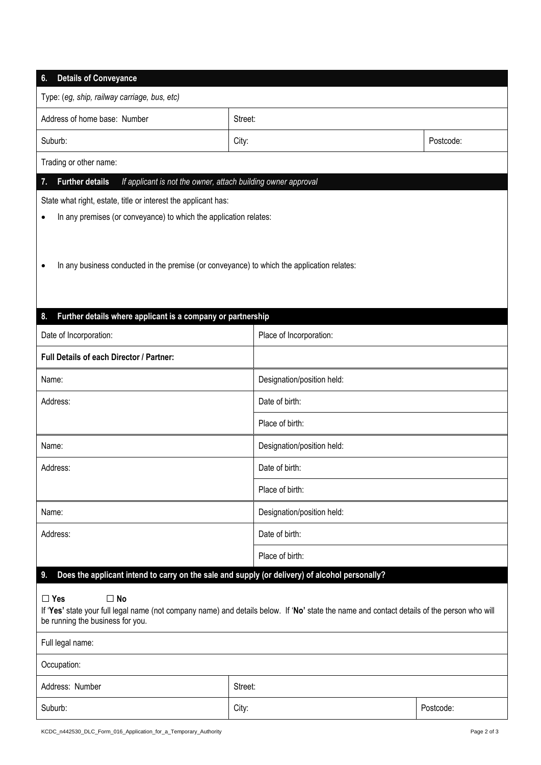| <b>Details of Conveyance</b><br>6.                                                                                                                                                                                                                                                                                       |         |                            |           |  |  |  |  |
|--------------------------------------------------------------------------------------------------------------------------------------------------------------------------------------------------------------------------------------------------------------------------------------------------------------------------|---------|----------------------------|-----------|--|--|--|--|
| Type: (eg, ship, railway carriage, bus, etc)                                                                                                                                                                                                                                                                             |         |                            |           |  |  |  |  |
| Address of home base: Number                                                                                                                                                                                                                                                                                             | Street: |                            |           |  |  |  |  |
| Suburb:                                                                                                                                                                                                                                                                                                                  | City:   |                            | Postcode: |  |  |  |  |
| Trading or other name:                                                                                                                                                                                                                                                                                                   |         |                            |           |  |  |  |  |
| <b>Further details</b><br>If applicant is not the owner, attach building owner approval<br>7.                                                                                                                                                                                                                            |         |                            |           |  |  |  |  |
| State what right, estate, title or interest the applicant has:                                                                                                                                                                                                                                                           |         |                            |           |  |  |  |  |
| In any premises (or conveyance) to which the application relates:<br>٠                                                                                                                                                                                                                                                   |         |                            |           |  |  |  |  |
| In any business conducted in the premise (or conveyance) to which the application relates:<br>$\bullet$                                                                                                                                                                                                                  |         |                            |           |  |  |  |  |
| Further details where applicant is a company or partnership<br>8.                                                                                                                                                                                                                                                        |         |                            |           |  |  |  |  |
| Date of Incorporation:                                                                                                                                                                                                                                                                                                   |         | Place of Incorporation:    |           |  |  |  |  |
| Full Details of each Director / Partner:                                                                                                                                                                                                                                                                                 |         |                            |           |  |  |  |  |
| Name:                                                                                                                                                                                                                                                                                                                    |         | Designation/position held: |           |  |  |  |  |
| Address:                                                                                                                                                                                                                                                                                                                 |         | Date of birth:             |           |  |  |  |  |
|                                                                                                                                                                                                                                                                                                                          |         | Place of birth:            |           |  |  |  |  |
| Name:                                                                                                                                                                                                                                                                                                                    |         | Designation/position held: |           |  |  |  |  |
| Address:                                                                                                                                                                                                                                                                                                                 |         | Date of birth:             |           |  |  |  |  |
|                                                                                                                                                                                                                                                                                                                          |         | Place of birth:            |           |  |  |  |  |
| Name:                                                                                                                                                                                                                                                                                                                    |         | Designation/position held: |           |  |  |  |  |
| Address:                                                                                                                                                                                                                                                                                                                 |         | Date of birth:             |           |  |  |  |  |
|                                                                                                                                                                                                                                                                                                                          |         | Place of birth:            |           |  |  |  |  |
| Does the applicant intend to carry on the sale and supply (or delivery) of alcohol personally?<br>9.<br>$\square$ Yes<br>$\square$ No<br>If 'Yes' state your full legal name (not company name) and details below. If 'No' state the name and contact details of the person who will<br>be running the business for you. |         |                            |           |  |  |  |  |
| Full legal name:                                                                                                                                                                                                                                                                                                         |         |                            |           |  |  |  |  |
| Occupation:                                                                                                                                                                                                                                                                                                              |         |                            |           |  |  |  |  |
| Address: Number                                                                                                                                                                                                                                                                                                          |         | Street:                    |           |  |  |  |  |
| Suburb:                                                                                                                                                                                                                                                                                                                  | City:   |                            | Postcode: |  |  |  |  |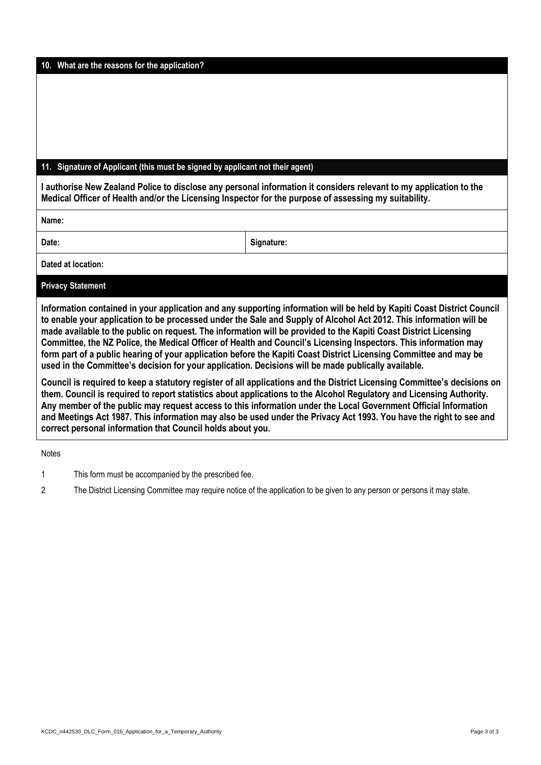| KCDC_n442530_DLC_Form_016_Application_for_a_Temporary_Authority | Page 3 of 3 |
|-----------------------------------------------------------------|-------------|
|-----------------------------------------------------------------|-------------|

### **11. Signature of Applicant (this must be signed by applicant not their agent)**

**I authorise New Zealand Police to disclose any personal information it considers relevant to my application to the Medical Officer of Health and/or the Licensing Inspector for the purpose of assessing my suitability.**

**Name:** 

Date: **Signature: Signature: Signature: Signature: Signature: Signature: Signature: Signature: Signature: Signature: Signature: Signature: Signature: Signature: Signature: Signature: Signatu** 

**Dated at location:** 

#### **Privacy Statement**

**Information contained in your application and any supporting information will be held by Kapiti Coast District Council to enable your application to be processed under the Sale and Supply of Alcohol Act 2012. This information will be made available to the public on request. The information will be provided to the Kapiti Coast District Licensing Committee, the NZ Police, the Medical Officer of Health and Council's Licensing Inspectors. This information may form part of a public hearing of your application before the Kapiti Coast District Licensing Committee and may be used in the Committee's decision for your application. Decisions will be made publically available.**

**Council is required to keep a statutory register of all applications and the District Licensing Committee's decisions on them. Council is required to report statistics about applications to the Alcohol Regulatory and Licensing Authority. Any member of the public may request access to this information under the Local Government Official Information and Meetings Act 1987. This information may also be used under the Privacy Act 1993. You have the right to see and correct personal information that Council holds about you.**

**Notes** 

1 This form must be accompanied by the prescribed fee.

2 The District Licensing Committee may require notice of the application to be given to any person or persons it may state.

**10. What are the reasons for the application?**